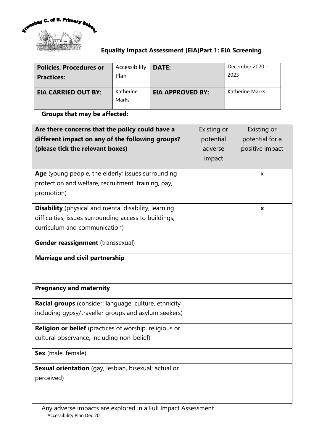

## **Equality Impact Assessment (EIA)Part 1: EIA Screening**

| <b>Policies, Procedures or</b> | Accessibility      | <b>DATE:</b>            | December 2020 - |
|--------------------------------|--------------------|-------------------------|-----------------|
| <b>Practices:</b>              | Plan               |                         | 2023            |
| <b>EIA CARRIED OUT BY:</b>     | Katherine<br>Marks | <b>EIA APPROVED BY:</b> | Katherine Marks |

## **Groups that may be affected:**

| Are there concerns that the policy could have a<br>different impact on any of the following groups?<br>(please tick the relevant boxes)               | Existing or<br>potential<br>adverse<br>impact | Existing or<br>potential for a<br>positive impact |
|-------------------------------------------------------------------------------------------------------------------------------------------------------|-----------------------------------------------|---------------------------------------------------|
| Age (young people, the elderly; issues surrounding<br>protection and welfare, recruitment, training, pay,<br>promotion)                               |                                               | x                                                 |
| <b>Disability</b> (physical and mental disability, learning<br>difficulties; issues surrounding access to buildings,<br>curriculum and communication) |                                               | X                                                 |
| Gender reassignment (transsexual)                                                                                                                     |                                               |                                                   |
| <b>Marriage and civil partnership</b>                                                                                                                 |                                               |                                                   |
| <b>Pregnancy and maternity</b>                                                                                                                        |                                               |                                                   |
| Racial groups (consider: language, culture, ethnicity<br>including gypsy/traveller groups and asylum seekers)                                         |                                               |                                                   |
| <b>Religion or belief</b> (practices of worship, religious or<br>cultural observance, including non-belief)                                           |                                               |                                                   |
| Sex (male, female)                                                                                                                                    |                                               |                                                   |
| Sexual orientation (gay, lesbian, bisexual; actual or<br>perceived)                                                                                   |                                               |                                                   |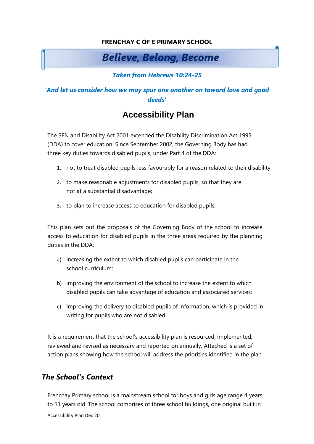#### **FRENCHAY C OF E PRIMARY SCHOOL**

# **Believe, Belong, Become**

#### *Taken from Hebrews 10:24-25*

#### *'And let us consider how we may spur one another on toward love and good deeds'*

# **Accessibility Plan**

The SEN and Disability Act 2001 extended the Disability Discrimination Act 1995 (DDA) to cover education. Since September 2002, the Governing Body has had three key duties towards disabled pupils, under Part 4 of the DDA:

- 1. not to treat disabled pupils less favourably for a reason related to their disability;
- 2. to make reasonable adjustments for disabled pupils, so that they are not at a substantial disadvantage;
- 3. to plan to increase access to education for disabled pupils.

This plan sets out the proposals of the Governing Body of the school to increase access to education for disabled pupils in the three areas required by the planning duties in the DDA:

- a) increasing the extent to which disabled pupils can participate in the school curriculum;
- b) improving the environment of the school to increase the extent to which disabled pupils can take advantage of education and associated services;
- c) improving the delivery to disabled pupils of information, which is provided in writing for pupils who are not disabled.

It is a requirement that the school's accessibility plan is resourced, implemented, reviewed and revised as necessary and reported on annually. Attached is a set of action plans showing how the school will address the priorities identified in the plan.

### *The School's Context*

Frenchay Primary school is a mainstream school for boys and girls age range 4 years to 11 years old. The school comprises of three school buildings, one original built in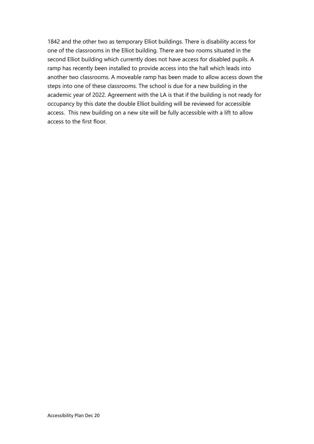1842 and the other two as temporary Elliot buildings. There is disability access for one of the classrooms in the Elliot building. There are two rooms situated in the second Elliot building which currently does not have access for disabled pupils. A ramp has recently been installed to provide access into the hall which leads into another two classrooms. A moveable ramp has been made to allow access down the steps into one of these classrooms. The school is due for a new building in the academic year of 2022. Agreement with the LA is that if the building is not ready for occupancy by this date the double Elliot building will be reviewed for accessible access. This new building on a new site will be fully accessible with a lift to allow access to the first floor.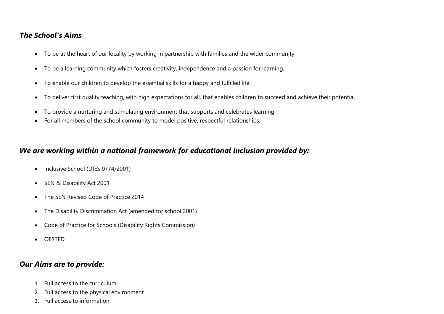### *The School's Aims*

- To be at the heart of our locality by working in partnership with families and the wider community
- To be a learning community which fosters creativity, independence and a passion for learning.
- To enable our children to develop the essential skills for a happy and fulfilled life.
- To deliver first quality teaching, with high expectations for all, that enables children to succeed and achieve their potential.
- To provide a nurturing and stimulating environment that supports and celebrates learning
- For all members of the school community to model positive, respectful relationships.

### *We are working within a national framework for educational inclusion provided by:*

- Inclusive School (DfES 0774/2001)
- SEN & Disability Act 2001
- The SEN Revised Code of Practice 2014
- The Disability Discrimination Act (amended for school 2001)
- Code of Practice for Schools (Disability Rights Commission)
- OFSTED

#### *Our Aims are to provide:*

- 1. Full access to the curriculum
- 2. Full access to the physical environment
- 3. Full access to information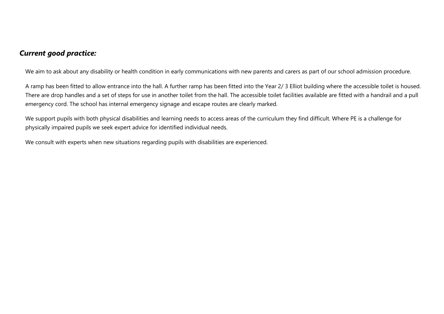### *Current good practice:*

We aim to ask about any disability or health condition in early communications with new parents and carers as part of our school admission procedure.

A ramp has been fitted to allow entrance into the hall. A further ramp has been fitted into the Year 2/ 3 Elliot building where the accessible toilet is housed. There are drop handles and a set of steps for use in another toilet from the hall. The accessible toilet facilities available are fitted with a handrail and a pull emergency cord. The school has internal emergency signage and escape routes are clearly marked.

We support pupils with both physical disabilities and learning needs to access areas of the curriculum they find difficult. Where PE is a challenge for physically impaired pupils we seek expert advice for identified individual needs.

We consult with experts when new situations regarding pupils with disabilities are experienced.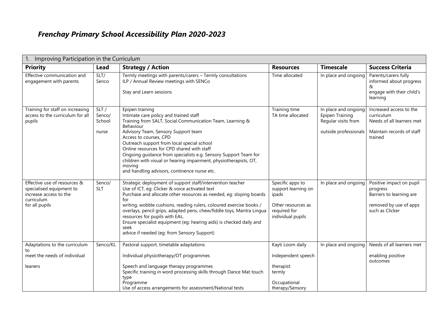# *Frenchay Primary School Accessibility Plan 2020-2023*

| Improving Participation in the Curriculum<br>1.                                                                    |                                   |                                                                                                                                                                                                                                                                                                                                                                                                                                                                                                            |                                                                                                             |                                                                                         |                                                                                                               |
|--------------------------------------------------------------------------------------------------------------------|-----------------------------------|------------------------------------------------------------------------------------------------------------------------------------------------------------------------------------------------------------------------------------------------------------------------------------------------------------------------------------------------------------------------------------------------------------------------------------------------------------------------------------------------------------|-------------------------------------------------------------------------------------------------------------|-----------------------------------------------------------------------------------------|---------------------------------------------------------------------------------------------------------------|
| <b>Priority</b>                                                                                                    | <b>Lead</b>                       | <b>Strategy / Action</b>                                                                                                                                                                                                                                                                                                                                                                                                                                                                                   | <b>Resources</b>                                                                                            | <b>Timescale</b>                                                                        | <b>Success Criteria</b>                                                                                       |
| Effective communication and<br>engagement with parents                                                             | SLT/<br>Senco                     | Termly meetings with parents/carers - Termly consultations<br>ILP / Annual Review meetings with SENCo<br>Stay and Learn sessions                                                                                                                                                                                                                                                                                                                                                                           | Time allocated                                                                                              | In place and ongoing                                                                    | Parents/carers fully<br>informed about progress<br>&<br>engage with their child's<br>learning                 |
| Training for staff on increasing<br>access to the curriculum for all<br>pupils                                     | SLT/<br>Senco/<br>School<br>nurse | Epipen training<br>Intimate care policy and trained staff<br>Training from SALT, Social Communication Team, Learning &<br>Behaviour<br>Advisory Team, Sensory Support team<br>Access to courses, CPD<br>Outreach support from local special school<br>Online resources for CPD shared with staff<br>Ongoing guidance from specialists e.g. Sensory Support Team for<br>children with visual or hearing impairment, physiotherapists, OT,<br>moving<br>and handling advisors, continence nurse etc.         | Training time<br>TA time allocated                                                                          | In place and ongoing<br>Epipen Training<br>Regular visits from<br>outside professionals | Increased access to the<br>curriculum<br>Needs of all learners met<br>Maintain records of staff<br>trained    |
| Effective use of resources &<br>specialised equipment to<br>increase access to the<br>curriculum<br>for all pupils | Senco/<br><b>SLT</b>              | Strategic deployment of support staff/intervention teacher<br>Use of ICT, eq: Clicker & voice activated text<br>Purchase and allocate other resources as needed, eq: sloping boards<br>for<br>writing, wobble cushions, reading rulers, coloured exercise books /<br>overlays, pencil grips, adapted pens, chew/fiddle toys, Mantra Lingua<br>resources for pupils with EAL.<br>Ensure specialist equipment (eq: hearing aids) is checked daily and<br>seek<br>advice if needed (eg: from Sensory Support) | Specific apps to<br>support learning on<br>ipads<br>Other resources as<br>required for<br>individual pupils | In place and ongoing                                                                    | Positive impact on pupil<br>progress<br>Barriers to learning are<br>removed by use of apps<br>such as Clicker |
| Adaptations to the curriculum<br>to<br>meet the needs of individual                                                | Senco/KL                          | Pastoral support, timetable adaptations<br>Individual physiotherapy/OT programmes                                                                                                                                                                                                                                                                                                                                                                                                                          | Kayti Loom daily<br>Independent speech                                                                      | In place and ongoing                                                                    | Needs of all learners met<br>enabling positive<br>outcomes                                                    |
| leaners                                                                                                            |                                   | Speech and language therapy programmes<br>Specific training in word processing skills through Dance Mat touch<br>type<br>Programme<br>Use of access arrangements for assessment/National tests                                                                                                                                                                                                                                                                                                             | therapist<br>termly<br>Occupational<br>therapy/Sensory                                                      |                                                                                         |                                                                                                               |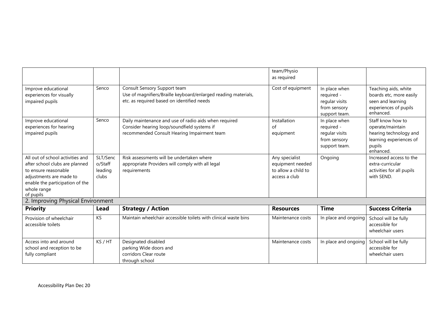|                                                                                                                                                                                      |                                         |                                                                                                                                                     | team/Physio<br>as required                                                 |                                                                                |                                                                                                                   |
|--------------------------------------------------------------------------------------------------------------------------------------------------------------------------------------|-----------------------------------------|-----------------------------------------------------------------------------------------------------------------------------------------------------|----------------------------------------------------------------------------|--------------------------------------------------------------------------------|-------------------------------------------------------------------------------------------------------------------|
| Improve educational<br>experiences for visually<br>impaired pupils                                                                                                                   | Senco                                   | Consult Sensory Support team<br>Use of magnifiers/Braille keyboard/enlarged reading materials,<br>etc. as required based on identified needs        | Cost of equipment                                                          | In place when<br>required -<br>regular visits<br>from sensory<br>support team. | Teaching aids, white<br>boards etc, more easily<br>seen and learning<br>experiences of pupils<br>enhanced.        |
| Improve educational<br>experiences for hearing<br>impaired pupils                                                                                                                    | Senco                                   | Daily maintenance and use of radio aids when required<br>Consider hearing loop/soundfield systems if<br>recommended Consult Hearing Impairment team | Installation<br>of<br>equipment                                            | In place when<br>required -<br>regular visits<br>from sensory<br>support team. | Staff know how to<br>operate/maintain<br>hearing technology and<br>learning experiences of<br>pupils<br>enhanced. |
| All out of school activities and<br>after school clubs are planned<br>to ensure reasonable<br>adjustments are made to<br>enable the participation of the<br>whole range<br>of pupils | SLT/Senc<br>o/Staff<br>leading<br>clubs | Risk assessments will be undertaken where<br>appropriate Providers will comply with all legal<br>requirements                                       | Any specialist<br>equipment needed<br>to allow a child to<br>access a club | Ongoing                                                                        | Increased access to the<br>extra-curricular<br>activities for all pupils<br>with SEND.                            |
| 2. Improving Physical Environment                                                                                                                                                    |                                         |                                                                                                                                                     |                                                                            |                                                                                |                                                                                                                   |
| <b>Priority</b>                                                                                                                                                                      | Lead                                    | <b>Strategy / Action</b>                                                                                                                            | <b>Resources</b>                                                           | <b>Time</b>                                                                    | <b>Success Criteria</b>                                                                                           |
| Provision of wheelchair<br>accessible toilets                                                                                                                                        | KS                                      | Maintain wheelchair accessible toilets with clinical waste bins                                                                                     | Maintenance costs                                                          | In place and ongoing                                                           | School will be fully<br>accessible for<br>wheelchair users                                                        |
| Access into and around<br>school and reception to be<br>fully compliant                                                                                                              | KS / HT                                 | Designated disabled<br>parking Wide doors and<br>corridors Clear route<br>through school                                                            | Maintenance costs                                                          | In place and ongoing                                                           | School will be fully<br>accessible for<br>wheelchair users                                                        |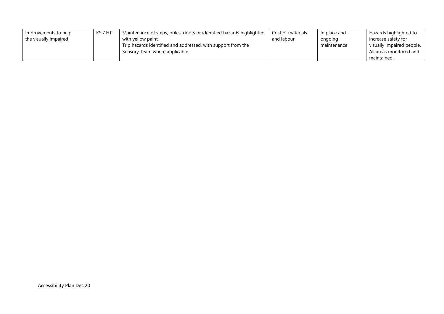| Improvements to help  | KS / HT | Maintenance of steps, poles, doors or identified hazards highlighted | Cost of materials | In place and | Hazards highlighted to    |
|-----------------------|---------|----------------------------------------------------------------------|-------------------|--------------|---------------------------|
| the visually impaired |         | with yellow paint                                                    | and labour        | ongoing      | increase safety for       |
|                       |         | Trip hazards identified and addressed, with support from the         |                   | maintenance  | visually impaired people. |
|                       |         | Sensory Team where applicable                                        |                   |              | All areas monitored and   |
|                       |         |                                                                      |                   |              | maintained.               |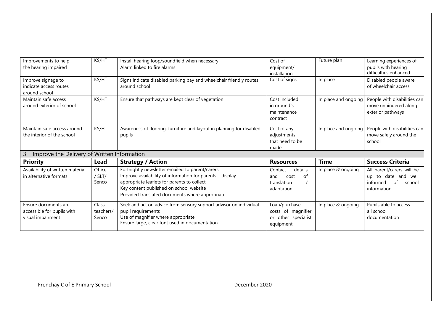| Improvements to help<br>the hearing impaired                  | KS/HT             | Install hearing loop/soundfield when necessary<br>Alarm linked to fire alarms                                                                                                                          | Cost of<br>equipment/<br>installation                   | Future plan          | Learning experiences of<br>pupils with hearing<br>difficulties enhanced.   |
|---------------------------------------------------------------|-------------------|--------------------------------------------------------------------------------------------------------------------------------------------------------------------------------------------------------|---------------------------------------------------------|----------------------|----------------------------------------------------------------------------|
| Improve signage to<br>indicate access routes<br>around school | <b>KS/HT</b>      | Signs indicate disabled parking bay and wheelchair friendly routes<br>around school                                                                                                                    | Cost of signs                                           | In place             | Disabled people aware<br>of wheelchair access                              |
| Maintain safe access<br>around exterior of school             | KS/HT             | Ensure that pathways are kept clear of vegetation                                                                                                                                                      | Cost included<br>in ground's<br>maintenance<br>contract | In place and ongoing | People with disabilities can<br>move unhindered along<br>exterior pathways |
| Maintain safe access around<br>the interior of the school     | KS/HT             | Awareness of flooring, furniture and layout in planning for disabled<br>pupils                                                                                                                         | Cost of any<br>adjustments<br>that need to be<br>made   | In place and ongoing | People with disabilities can<br>move safely around the<br>school           |
| Improve the Delivery of Written Information<br>3              |                   |                                                                                                                                                                                                        |                                                         |                      |                                                                            |
| <b>Priority</b>                                               | Lead              | <b>Strategy / Action</b>                                                                                                                                                                               | <b>Resources</b>                                        | <b>Time</b>          | <b>Success Criteria</b>                                                    |
| Availability of written material                              | Office            | Fortnightly newsletter emailed to parent/carers                                                                                                                                                        | details<br>Contact                                      | In place & ongoing   | All parent/carers will be                                                  |
| in alternative formats                                        | $/$ SLT/<br>Senco | Improve availability of information for parents - display<br>appropriate leaflets for parents to collect<br>Key content published on school website<br>Provided translated documents where appropriate | of<br>cost<br>and<br>translation<br>adaptation          |                      | date and well<br>to<br>up<br>informed<br>of<br>school<br>information       |